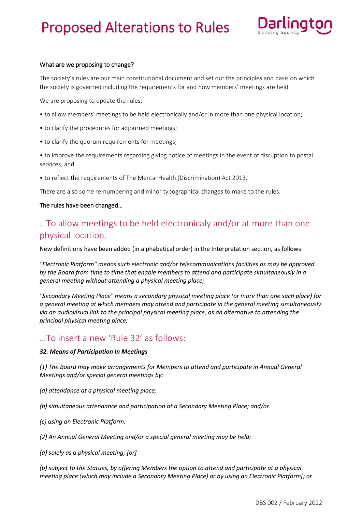

#### What are we proposing to change?

The society's rules are our main constitutional document and set out the principles and basis on which the society is governed including the requirements for and how members' meetings are held.

We are proposing to update the rules:

- to allow members' meetings to be held electronically and/or in more than one physical location;
- to clarify the procedures for adjourned meetings;
- to clarify the quorum requirements for meetings;

• to improve the requirements regarding giving notice of meetings in the event of disruption to postal services; and

• to reflect the requirements of The Mental Health (Discrimination) Act 2013.

There are also some re-numbering and minor typographical changes to make to the rules.

#### The rules have been changed…

# …To allow meetings to be held electronicaly and/or at more than one physical location.

New definitions have been added (in alphabetical order) in the Interpretation section, as follows:

*"Electronic Platform" means such electronic and/or telecommunications facilities as may be approved by the Board from time to time that enable members to attend and participate simultaneously in a general meeting without attending a physical meeting place;*

*"Secondary Meeting Place" means a secondary physical meeting place (or more than one such place) for a general meeting at which members may attend and participate in the general meeting simultaneously via an audiovisual link to the principal physical meeting place, as an alternative to attending the principal physical meeting place;*

### …To insert a new 'Rule 32' as follows:

#### *32. Means of Participation In Meetings*

*(1) The Board may make arrangements for Members to attend and participate in Annual General Meetings and/or special general meetings by:*

- *(a) attendance at a physical meeting place;*
- *(b) simultaneous attendance and participation at a Secondary Meeting Place; and/or*
- *(c) using an Electronic Platform.*
- *(2) An Annual General Meeting and/or a special general meeting may be held:*

*(a) solely as a physical meeting; [or]*

*(b) subject to the Statues, by offering Members the option to attend and participate at a physical meeting place (which may include a Secondary Meeting Place) or by using an Electronic Platform[; or*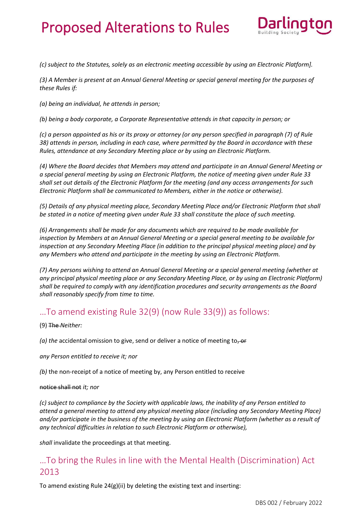

*(c) subject to the Statutes, solely as an electronic meeting accessible by using an Electronic Platform].*

*(3) A Member is present at an Annual General Meeting or special general meeting for the purposes of these Rules if:*

*(a) being an individual, he attends in person;*

*(b) being a body corporate, a Corporate Representative attends in that capacity in person; or*

*(c) a person appointed as his or its proxy or attorney (or any person specified in paragraph (7) of Rule 38) attends in person, including in each case, where permitted by the Board in accordance with these Rules, attendance at any Secondary Meeting place or by using an Electronic Platform.*

*(4) Where the Board decides that Members may attend and participate in an Annual General Meeting or a special general meeting by using an Electronic Platform, the notice of meeting given under Rule 33 shall set out details of the Electronic Platform for the meeting (and any access arrangements for such Electronic Platform shall be communicated to Members, either in the notice or otherwise).*

*(5) Details of any physical meeting place, Secondary Meeting Place and/or Electronic Platform that shall be stated in a notice of meeting given under Rule 33 shall constitute the place of such meeting.*

*(6) Arrangements shall be made for any documents which are required to be made available for inspection by Members at an Annual General Meeting or a special general meeting to be available for inspection at any Secondary Meeting Place (in addition to the principal physical meeting place) and by any Members who attend and participate in the meeting by using an Electronic Platform.*

*(7) Any persons wishing to attend an Annual General Meeting or a special general meeting (whether at any principal physical meeting place or any Secondary Meeting Place, or by using an Electronic Platform) shall be required to comply with any identification procedures and security arrangements as the Board shall reasonably specify from time to time.*

### …To amend existing Rule 32(9) (now Rule 33(9)) as follows:

(9) The *Neither:*

(a) the accidental omission to give, send or deliver a notice of meeting to, or

*any Person entitled to receive it; nor*

*(b)* the non-receipt of a notice of meeting by, any Person entitled to receive

#### notice shall not *it; nor*

*(c) subject to compliance by the Society with applicable laws, the inability of any Person entitled to attend a general meeting to attend any physical meeting place (including any Secondary Meeting Place) and/or participate in the business of the meeting by using an Electronic Platform (whether as a result of any technical difficulties in relation to such Electronic Platform or otherwise),* 

*shall* invalidate the proceedings at that meeting.

## …To bring the Rules in line with the Mental Health (Discrimination) Act 2013

To amend existing Rule 24(g)(ii) by deleting the existing text and inserting: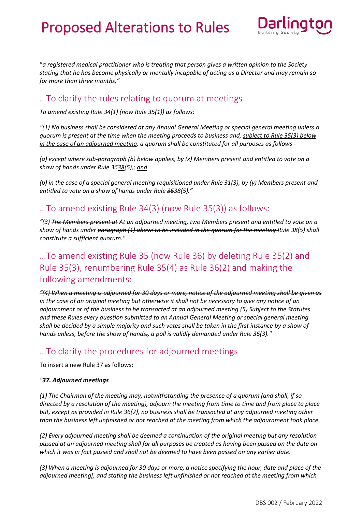

"*a registered medical practitioner who is treating that person gives a written opinion to the Society stating that he has become physically or mentally incapable of acting as a Director and may remain so for more than three months,"*

### …To clarify the rules relating to quorum at meetings

*To amend existing Rule 34(1) (now Rule 35(1)) as follows:*

*"(1) No business shall be considered at any Annual General Meeting or special general meeting unless a quorum is present at the time when the meeting proceeds to business and, subject to Rule 35(3) below in the case of an adjourned meeting, a quorum shall be constituted for all purposes as follows -*

*(a) except where sub-paragraph (b) below applies, by (x) Members present and entitled to vote on a show of hands under Rule 3638(5),; and*

*(b) in the case of a special general meeting requisitioned under Rule 31(3), by (y) Members present and entitled to vote on a show of hands under Rule 3638(5)."*

### …To amend existing Rule 34(3) (now Rule 35(3)) as follows:

*"(3) The Members present at At an adjourned meeting, two Members present and entitled to vote on a show of hands under paragraph (1) above to be included in the quorum for the meeting Rule 38(5) shall constitute a sufficient quorum."*

# …To amend existing Rule 35 (now Rule 36) by deleting Rule 35(2) and Rule 35(3), renumbering Rule 35(4) as Rule 36(2) and making the following amendments:

*"(4) When a meeting is adjourned for 30 days or more, notice of the adjourned meeting shall be given as in the case of an original meeting but otherwise it shall not be necessary to give any notice of an adjournment or of the business to be transacted at an adjourned meeting.(5) Subject to the Statutes and these Rules every question submitted to an Annual General Meeting or special general meeting shall be decided by a simple majority and such votes shall be taken in the first instance by a show of hands unless, before the show of hands., a poll is validly demanded under Rule 36(3)."*

## …To clarify the procedures for adjourned meetings

To insert a new Rule 37 as follows:

#### *"37. Adjourned meetings*

*(1) The Chairman of the meeting may, notwithstanding the presence of a quorum (and shall, if so directed by a resolution of the meeting), adjourn the meeting from time to time and from place to place but, except as provided in Rule 36(7), no business shall be transacted at any adjourned meeting other than the business left unfinished or not reached at the meeting from which the adjournment took place.*

*(2) Every adjourned meeting shall be deemed a continuation of the original meeting but any resolution passed at an adjourned meeting shall for all purposes be treated as having been passed on the date on which it was in fact passed and shall not be deemed to have been passed on any earlier date.* 

*(3) When a meeting is adjourned for 30 days or more, a notice specifying the hour, date and place of the adjourned meeting[, and stating the business left unfinished or not reached at the meeting from which*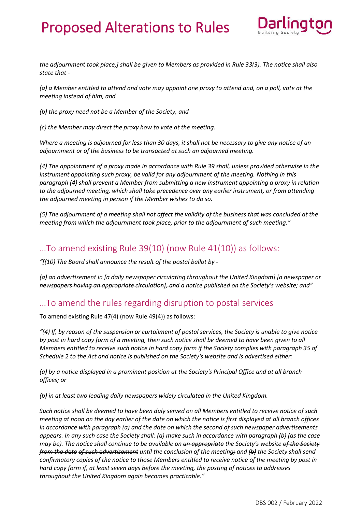

*the adjournment took place,] shall be given to Members as provided in Rule 33(3). The notice shall also state that -*

*(a) a Member entitled to attend and vote may appoint one proxy to attend and, on a poll, vote at the meeting instead of him, and*

*(b) the proxy need not be a Member of the Society, and*

*(c) the Member may direct the proxy how to vote at the meeting.*

*Where a meeting is adjourned for less than 30 days, it shall not be necessary to give any notice of an adjournment or of the business to be transacted at such an adjourned meeting.*

*(4) The appointment of a proxy made in accordance with Rule 39 shall, unless provided otherwise in the instrument appointing such proxy, be valid for any adjournment of the meeting. Nothing in this paragraph (4) shall prevent a Member from submitting a new instrument appointing a proxy in relation to the adjourned meeting, which shall take precedence over any earlier instrument, or from attending the adjourned meeting in person if the Member wishes to do so.*

*(5) The adjournment of a meeting shall not affect the validity of the business that was concluded at the meeting from which the adjournment took place, prior to the adjournment of such meeting."*

### …To amend existing Rule 39(10) (now Rule 41(10)) as follows:

*"[(10) The Board shall announce the result of the postal ballot by -*

*(a) an advertisement in [a daily newspaper circulating throughout the United Kingdom] [a newspaper or newspapers having an appropriate circulation], and a notice published on the Society's website; and"*

## …To amend the rules regarding disruption to postal services

To amend existing Rule 47(4) (now Rule 49(4)) as follows:

*"(4) If, by reason of the suspension or curtailment of postal services, the Society is unable to give notice by post in hard copy form of a meeting, then such notice shall be deemed to have been given to all Members entitled to receive such notice in hard copy form if the Society complies with paragraph 35 of Schedule 2 to the Act and notice is published on the Society's website and is advertised either:*

*(a) by a notice displayed in a prominent position at the Society's Principal Office and at all branch offices; or*

*(b) in at least two leading daily newspapers widely circulated in the United Kingdom.*

*Such notice shall be deemed to have been duly served on all Members entitled to receive notice of such meeting at noon on the day earlier of the date on which the notice is first displayed at all branch offices in accordance with paragraph (a) and the date on which the second of such newspaper advertisements appears. In any such case the Society shall: (a) make such in accordance with paragraph (b) (as the case may be). The notice shall continue to be available on an appropriate the Society's website of the Society from the date of such advertisement until the conclusion of the meeting; and (b) the Society shall send confirmatory copies of the notice to those Members entitled to receive notice of the meeting by post in hard copy form if, at least seven days before the meeting, the posting of notices to addresses throughout the United Kingdom again becomes practicable."*